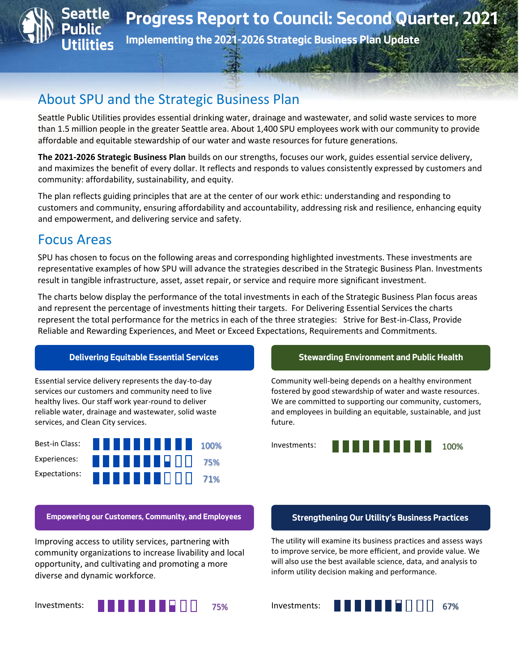

## About SPU and the Strategic Business Plan

Seattle Public Utilities provides essential drinking water, drainage and wastewater, and solid waste services to more than 1.5 million people in the greater Seattle area. About 1,400 SPU employees work with our community to provide affordable and equitable stewardship of our water and waste resources for future generations.

**The 2021-2026 Strategic Business Plan** builds on our strengths, focuses our work, guides essential service delivery, and maximizes the benefit of every dollar. It reflects and responds to values consistently expressed by customers and community: affordability, sustainability, and equity.

The plan reflects guiding principles that are at the center of our work ethic: understanding and responding to customers and community, ensuring affordability and accountability, addressing risk and resilience, enhancing equity and empowerment, and delivering service and safety.

## Focus Areas

SPU has chosen to focus on the following areas and corresponding highlighted investments. These investments are representative examples of how SPU will advance the strategies described in the Strategic Business Plan. Investments result in tangible infrastructure, asset, asset repair, or service and require more significant investment.

The charts below display the performance of the total investments in each of the Strategic Business Plan focus areas and represent the percentage of investments hitting their targets. For Delivering Essential Services the charts represent the total performance for the metrics in each of the three strategies: Strive for Best-in-Class, Provide Reliable and Rewarding Experiences, and Meet or Exceed Expectations, Requirements and Commitments.

Essential service delivery represents the day-to-day services our customers and community need to live healthy lives. Our staff work year-round to deliver reliable water, drainage and wastewater, solid waste services, and Clean City services.



Improving access to utility services, partnering with community organizations to increase livability and local opportunity, and cultivating and promoting a more diverse and dynamic workforce.

Investments: **Alban Barbara** 

### **Delivering Equitable Essential Services Stewarding Environment and Public Health**

Community well-being depends on a healthy environment fostered by good stewardship of water and waste resources. We are committed to supporting our community, customers, and employees in building an equitable, sustainable, and just future.



### **Empowering our Customers, Community, and Employees Strengthening Our Utility's Business Practices**

The utility will examine its business practices and assess ways to improve service, be more efficient, and provide value. We will also use the best available science, data, and analysis to inform utility decision making and performance.

Investments:

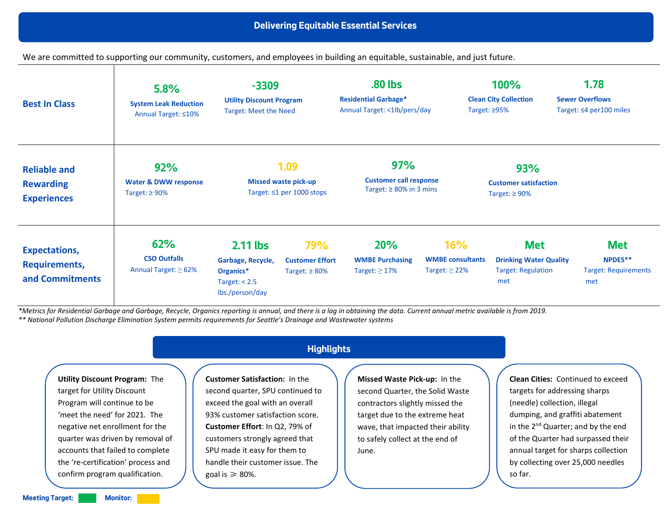We are committed to supporting our community, customers, and employees in building an equitable, sustainable, and just future.

| <b>Best In Class</b>                                          | 5.8%<br><b>System Leak Reduction</b><br>Annual Target: ≤10%   | $-3309$<br><b>Utility Discount Program</b><br><b>Target: Meet the Need</b>         |                                                             | .80 lbs<br><b>Residential Garbage*</b><br>Annual Target: <1lb/pers/day<br>Target: ≥95% |                                                      | 100%<br><b>Clean City Collection</b>                                            | 1.78<br><b>Sewer Overflows</b><br>Target: $\leq 4$ per 100 miles |
|---------------------------------------------------------------|---------------------------------------------------------------|------------------------------------------------------------------------------------|-------------------------------------------------------------|----------------------------------------------------------------------------------------|------------------------------------------------------|---------------------------------------------------------------------------------|------------------------------------------------------------------|
| <b>Reliable and</b><br><b>Rewarding</b><br><b>Experiences</b> | 92%<br><b>Water &amp; DWW response</b><br>Target: $\geq 90\%$ | 1.09<br><b>Missed waste pick-up</b><br>Target: $\leq 1$ per 1000 stops             |                                                             | 97%<br><b>Customer call response</b><br>Target: $\geq 80\%$ in 3 mins                  |                                                      | <b>93%</b><br><b>Customer satisfaction</b><br>Target: $\geq 90\%$               |                                                                  |
| <b>Expectations,</b><br>Requirements,<br>and Commitments      | 62%<br><b>CSO Outfalls</b><br>Annual Target: $\geq 62\%$      | $2.11$ lbs<br>Garbage, Recycle,<br>Organics*<br>Target: $< 2.5$<br>lbs./person/day | <b>79%</b><br><b>Customer Effort</b><br>Target: $\geq 80\%$ | <b>20%</b><br><b>WMBE Purchasing</b><br>Target: $\geq$ 17%                             | 16%<br><b>WMBE</b> consultants<br>Target: $\geq$ 22% | <b>Met</b><br><b>Drinking Water Quality</b><br><b>Target: Regulation</b><br>met | <b>Met</b><br>NPDES**<br><b>Target: Requirements</b><br>met      |

*\*Metrics for Residential Garbage and Garbage, Recycle, Organics reporting is annual, and there is a lag in obtaining the data. Current annual metric available is from 2019. \*\* National Pollution Discharge Elimination System permits requirements for Seattle's Drainage and Wastewater systems*

**Utility Discount Program:** The target for Utility Discount Program will continue to be 'meet the need' for 2021. The negative net enrollment for the quarter was driven by removal of accounts that failed to complete the 're-certification' process and confirm program qualification.

## **Highlights**

**Customer Satisfaction:** In the second quarter, SPU continued to exceed the goal with an overall 93% customer satisfaction score. **Customer Effort**: In Q2, 79% of customers strongly agreed that SPU made it easy for them to handle their customer issue. The goal is  $\geq 80$ %.

**Missed Waste Pick-up:** In the second Quarter, the Solid Waste contractors slightly missed the target due to the extreme heat wave, that impacted their ability to safely collect at the end of June.

**Clean Cities:** Continued to exceed targets for addressing sharps (needle) collection, illegal dumping, and graffiti abatement in the 2<sup>nd</sup> Quarter; and by the end of the Quarter had surpassed their annual target for sharps collection by collecting over 25,000 needles so far.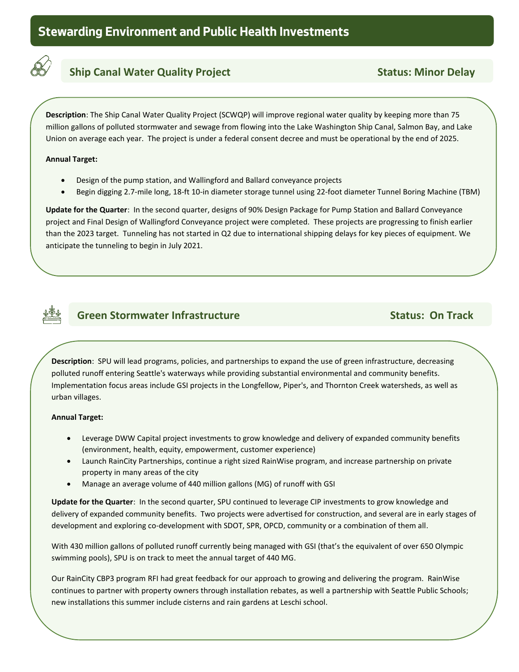

## **Ship Canal Water Quality Project Status: Minor Delay**

**Description**: The Ship Canal Water Quality Project (SCWQP) will improve regional water quality by keeping more than 75 million gallons of polluted stormwater and sewage from flowing into the Lake Washington Ship Canal, Salmon Bay, and Lake Union on average each year. The project is under a federal consent decree and must be operational by the end of 2025.

### **Annual Target:**

**track**

- Design of the pump station, and Wallingford and Ballard conveyance projects
- Begin digging 2.7-mile long, 18-ft 10-in diameter storage tunnel using 22-foot diameter Tunnel Boring Machine (TBM)

**Update for the Quarter**: In the second quarter, designs of 90% Design Package for Pump Station and Ballard Conveyance project and Final Design of Wallingford Conveyance project were completed. These projects are progressing to finish earlier than the 2023 target. Tunneling has not started in Q2 due to international shipping delays for key pieces of equipment. We anticipate the tunneling to begin in July 2021.



## **Green Stormwater Infrastructure Community Community Status: On Track**

**Description**: SPU will lead programs, policies, and partnerships to expand the use of green infrastructure, decreasing polluted runoff entering Seattle's waterways while providing substantial environmental and community benefits.  Implementation focus areas include GSI projects in the Longfellow, Piper's, and Thornton Creek watersheds, as well as urban villages.

### **Annual Target:**

**track**

- Leverage DWW Capital project investments to grow knowledge and delivery of expanded community benefits (environment, health, equity, empowerment, customer experience)
- Launch RainCity Partnerships, continue a right sized RainWise program, and increase partnership on private property in many areas of the city
- Manage an average volume of 440 million gallons (MG) of runoff with GSI

**Update for the Quarter**: In the second quarter, SPU continued to leverage CIP investments to grow knowledge and delivery of expanded community benefits. Two projects were advertised for construction, and several are in early stages of development and exploring co-development with SDOT, SPR, OPCD, community or a combination of them all.

With 430 million gallons of polluted runoff currently being managed with GSI (that's the equivalent of over 650 Olympic swimming pools), SPU is on track to meet the annual target of 440 MG.

Our RainCity CBP3 program RFI had great feedback for our approach to growing and delivering the program. RainWise continues to partner with property owners through installation rebates, as well a partnership with Seattle Public Schools; new installations this summer include cisterns and rain gardens at Leschi school.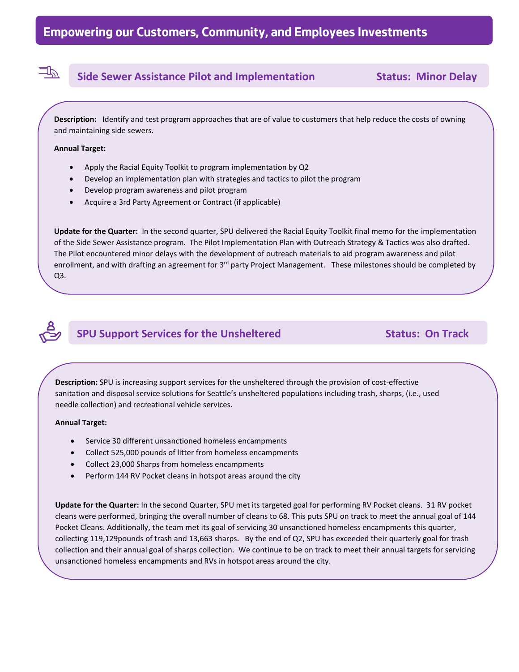## **Side Sewer Assistance Pilot and Implementation Status: Minor Delay**

**Description:** Identify and test program approaches that are of value to customers that help reduce the costs of owning and maintaining side sewers.

### **Annual Target:**

**track**

四

- Apply the Racial Equity Toolkit to program implementation by Q2
- Develop an implementation plan with strategies and tactics to pilot the program
- Develop program awareness and pilot program
- Acquire a 3rd Party Agreement or Contract (if applicable)

**Update for the Quarter:** In the second quarter, SPU delivered the Racial Equity Toolkit final memo for the implementation of the Side Sewer Assistance program. The Pilot Implementation Plan with Outreach Strategy & Tactics was also drafted. The Pilot encountered minor delays with the development of outreach materials to aid program awareness and pilot enrollment, and with drafting an agreement for 3<sup>rd</sup> party Project Management. These milestones should be completed by Q3.

## **SPU Support Services for the Unsheltered Status: On Track**

**Description:** SPU is increasing support services for the unsheltered through the provision of cost-effective sanitation and disposal service solutions for Seattle's unsheltered populations including trash, sharps, (i.e., used needle collection) and recreational vehicle services.

### **Annual Target:**

**track**

- Service 30 different unsanctioned homeless encampments
- Collect 525,000 pounds of litter from homeless encampments
- Collect 23,000 Sharps from homeless encampments
- Perform 144 RV Pocket cleans in hotspot areas around the city

**Update for the Quarter:** In the second Quarter, SPU met its targeted goal for performing RV Pocket cleans. 31 RV pocket cleans were performed, bringing the overall number of cleans to 68. This puts SPU on track to meet the annual goal of 144 Pocket Cleans. Additionally, the team met its goal of servicing 30 unsanctioned homeless encampments this quarter, collecting 119,129pounds of trash and 13,663 sharps. By the end of Q2, SPU has exceeded their quarterly goal for trash collection and their annual goal of sharps collection. We continue to be on track to meet their annual targets for servicing unsanctioned homeless encampments and RVs in hotspot areas around the city.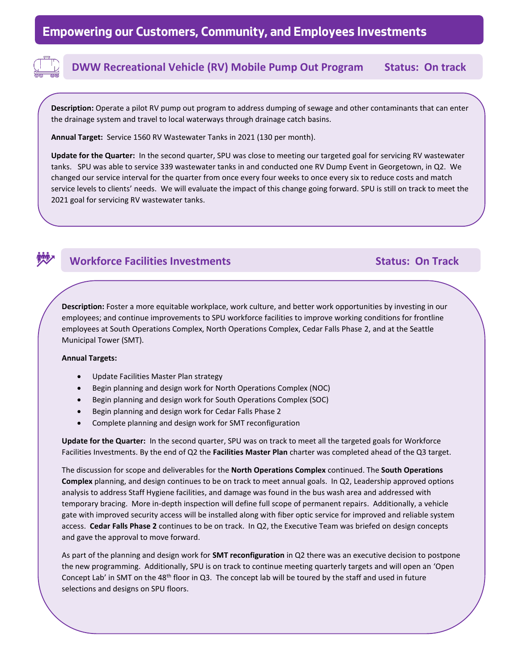

## **DWW Recreational Vehicle (RV) Mobile Pump Out Program Status: On track**

**Description:** Operate a pilot RV pump out program to address dumping of sewage and other contaminants that can enter the drainage system and travel to local waterways through drainage catch basins.

**Annual Target:** Service 1560 RV Wastewater Tanks in 2021 (130 per month).

**Update for the Quarter:** In the second quarter, SPU was close to meeting our targeted goal for servicing RV wastewater tanks. SPU was able to service 339 wastewater tanks in and conducted one RV Dump Event in Georgetown, in Q2. We changed our service interval for the quarter from once every four weeks to once every six to reduce costs and match service levels to clients' needs. We will evaluate the impact of this change going forward. SPU is still on track to meet the 2021 goal for servicing RV wastewater tanks.



## **Workforce Facilities Investments Community Community Community Community Community Community Community Community**

**Description:** Foster a more equitable workplace, work culture, and better work opportunities by investing in our employees; and continue improvements to SPU workforce facilities to improve working conditions for frontline employees at South Operations Complex, North Operations Complex, Cedar Falls Phase 2, and at the Seattle Municipal Tower (SMT).

### **Annual Targets:**

**track** 

- Update Facilities Master Plan strategy
- Begin planning and design work for North Operations Complex (NOC)
- Begin planning and design work for South Operations Complex (SOC)
- Begin planning and design work for Cedar Falls Phase 2
- Complete planning and design work for SMT reconfiguration

**Update for the Quarter:** In the second quarter, SPU was on track to meet all the targeted goals for Workforce Facilities Investments. By the end of Q2 the **Facilities Master Plan** charter was completed ahead of the Q3 target.

The discussion for scope and deliverables for the **North Operations Complex** continued. The **South Operations Complex** planning, and design continues to be on track to meet annual goals. In Q2, Leadership approved options analysis to address Staff Hygiene facilities, and damage was found in the bus wash area and addressed with temporary bracing. More in-depth inspection will define full scope of permanent repairs. Additionally, a vehicle gate with improved security access will be installed along with fiber optic service for improved and reliable system access. **Cedar Falls Phase 2** continues to be on track. In Q2, the Executive Team was briefed on design concepts and gave the approval to move forward.

As part of the planning and design work for **SMT reconfiguration** in Q2 there was an executive decision to postpone the new programming. Additionally, SPU is on track to continue meeting quarterly targets and will open an 'Open Concept Lab' in SMT on the 48th floor in Q3. The concept lab will be toured by the staff and used in future selections and designs on SPU floors.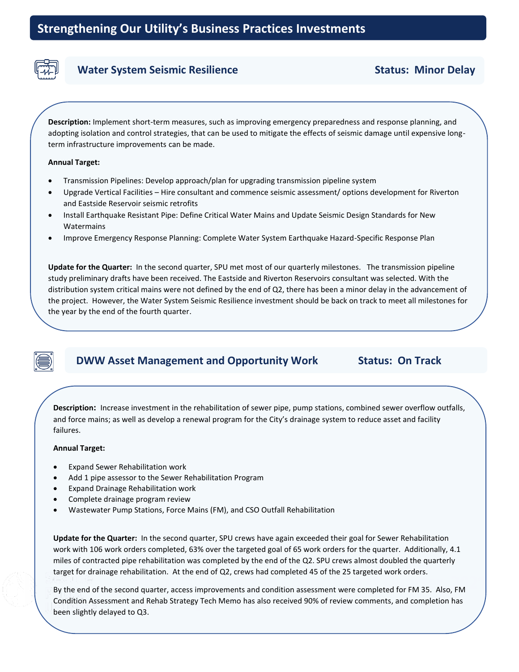

## **Water System Seismic Resilience Status: Minor Delay**

**Description:** Implement short-term measures, such as improving emergency preparedness and response planning, and adopting isolation and control strategies, that can be used to mitigate the effects of seismic damage until expensive longterm infrastructure improvements can be made.

### **Annual Target:**

- Transmission Pipelines: Develop approach/plan for upgrading transmission pipeline system
- Upgrade Vertical Facilities Hire consultant and commence seismic assessment/ options development for Riverton and Eastside Reservoir seismic retrofits
- Install Earthquake Resistant Pipe: Define Critical Water Mains and Update Seismic Design Standards for New Watermains
- Improve Emergency Response Planning: Complete Water System Earthquake Hazard-Specific Response Plan

**Update for the Quarter:** In the second quarter, SPU met most of our quarterly milestones. The transmission pipeline study preliminary drafts have been received. The Eastside and Riverton Reservoirs consultant was selected. With the distribution system critical mains were not defined by the end of Q2, there has been a minor delay in the advancement of the project. However, the Water System Seismic Resilience investment should be back on track to meet all milestones for the year by the end of the fourth quarter.

## **DWW Asset Management and Opportunity Work Status: On Track**

**Description:** Increase investment in the rehabilitation of sewer pipe, pump stations, combined sewer overflow outfalls, **track**<br>failures. and force mains; as well as develop a renewal program for the City's drainage system to reduce asset and facility

### **Annual Target:**

- Expand Sewer Rehabilitation work
- Add 1 pipe assessor to the Sewer Rehabilitation Program
- Expand Drainage Rehabilitation work
- Complete drainage program review
- Wastewater Pump Stations, Force Mains (FM), and CSO Outfall Rehabilitation

**Update for the Quarter:** In the second quarter, SPU crews have again exceeded their goal for Sewer Rehabilitation work with 106 work orders completed, 63% over the targeted goal of 65 work orders for the quarter. Additionally, 4.1 miles of contracted pipe rehabilitation was completed by the end of the Q2. SPU crews almost doubled the quarterly target for drainage rehabilitation. At the end of Q2, crews had completed 45 of the 25 targeted work orders.

Progress Report to Council: First August 2012<br>By the end of the second quarter, access improvements and condition assessment were completed for FM 35. Also, FM Condition Assessment and Rehab Strategy Tech Memo has also received 90% of review comments, and completion has<br>heen slightly delayed to O3 been slightly delayed to Q3.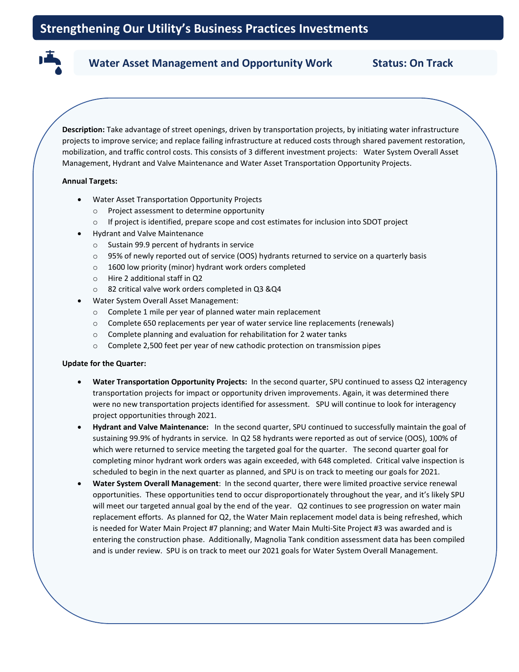### Water Asset Management and Opportunity Work **Status: On Track**

**Description:** Take advantage of street openings, driven by transportation projects, by initiating water infrastructure projects to improve service; and replace failing infrastructure at reduced costs through shared pavement restoration, mobilization, and traffic control costs. This consists of 3 different investment projects: Water System Overall Asset Management, Hydrant and Valve Maintenance and Water Asset Transportation Opportunity Projects.

### **Annual Targets:**

**track**

- Water Asset Transportation Opportunity Projects
	- o Project assessment to determine opportunity
	- o If project is identified, prepare scope and cost estimates for inclusion into SDOT project
- Hydrant and Valve Maintenance
	- o Sustain 99.9 percent of hydrants in service
	- o 95% of newly reported out of service (OOS) hydrants returned to service on a quarterly basis
	- o 1600 low priority (minor) hydrant work orders completed
	- o Hire 2 additional staff in Q2
	- o 82 critical valve work orders completed in Q3 &Q4
- Water System Overall Asset Management:
	- o Complete 1 mile per year of planned water main replacement
	- o Complete 650 replacements per year of water service line replacements (renewals)
	- o Complete planning and evaluation for rehabilitation for 2 water tanks
	- o Complete 2,500 feet per year of new cathodic protection on transmission pipes

### **Update for the Quarter:**

- **Water Transportation Opportunity Projects:** In the second quarter, SPU continued to assess Q2 interagency transportation projects for impact or opportunity driven improvements. Again, it was determined there were no new transportation projects identified for assessment. SPU will continue to look for interagency project opportunities through 2021.
- **Hydrant and Valve Maintenance:** In the second quarter, SPU continued to successfully maintain the goal of sustaining 99.9% of hydrants in service. In Q2 58 hydrants were reported as out of service (OOS), 100% of which were returned to service meeting the targeted goal for the quarter. The second quarter goal for completing minor hydrant work orders was again exceeded, with 648 completed. Critical valve inspection is scheduled to begin in the next quarter as planned, and SPU is on track to meeting our goals for 2021.
- **Water System Overall Management**: In the second quarter, there were limited proactive service renewal opportunities. These opportunities tend to occur disproportionately throughout the year, and it's likely SPU will meet our targeted annual goal by the end of the year. Q2 continues to see progression on water main replacement efforts. As planned for Q2, the Water Main replacement model data is being refreshed, which is needed for Water Main Project #7 planning; and Water Main Multi-Site Project #3 was awarded and is entering the construction phase. Additionally, Magnolia Tank condition assessment data has been compiled and is under review. SPU is on track to meet our 2021 goals for Water System Overall Management.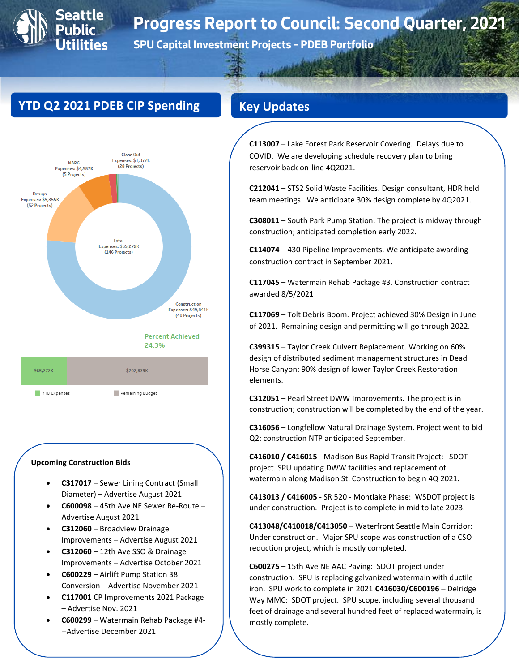# **Progress Report to Council: Second Quarter, 2021**

**SPU Capital Investment Projects – PDEB Portfolio**

## **YTD Q2 2021 PDEB CIP Spending**

**0**





### **Upcoming Construction Bids**

YTD Expenses

• **C317017** – Sewer Lining Contract (Small Diameter) – Advertise August 2021

Remaining Budget

- **C600098** 45th Ave NE Sewer Re-Route Advertise August 2021
- **C312060** Broadview Drainage Improvements – Advertise August 2021
- **C312060** 12th Ave SSO & Drainage Improvements – Advertise October 2021
- **C600229** Airlift Pump Station 38 Conversion – Advertise November 2021
- **C117001** CP Improvements 2021 Package – Advertise Nov. 2021
- **C600299** Watermain Rehab Package #4- --Advertise December 2021

**C113007** – Lake Forest Park Reservoir Covering. Delays due to COVID. We are developing schedule recovery plan to bring reservoir back on-line 4Q2021.

**C212041** – STS2 Solid Waste Facilities. Design consultant, HDR held team meetings. We anticipate 30% design complete by 4Q2021.

**C308011** – South Park Pump Station. The project is midway through construction; anticipated completion early 2022.

**C114074** – 430 Pipeline Improvements. We anticipate awarding construction contract in September 2021.

**C117045** – Watermain Rehab Package #3. Construction contract awarded 8/5/2021

**C117069** – Tolt Debris Boom. Project achieved 30% Design in June of 2021. Remaining design and permitting will go through 2022.

**C399315** – Taylor Creek Culvert Replacement. Working on 60% design of distributed sediment management structures in Dead Horse Canyon; 90% design of lower Taylor Creek Restoration elements.

**C312051** – Pearl Street DWW Improvements. The project is in construction; construction will be completed by the end of the year.

**C316056** – Longfellow Natural Drainage System. Project went to bid Q2; construction NTP anticipated September.

**C416010 / C416015** - Madison Bus Rapid Transit Project: SDOT project. SPU updating DWW facilities and replacement of watermain along Madison St. Construction to begin 4Q 2021.

**C413013 / C416005** - SR 520 - Montlake Phase: WSDOT project is under construction. Project is to complete in mid to late 2023.

**C413048/C410018/C413050** – Waterfront Seattle Main Corridor: Under construction. Major SPU scope was construction of a CSO reduction project, which is mostly completed.

**C600275** – 15th Ave NE AAC Paving: SDOT project under construction. SPU is replacing galvanized watermain with ductile iron. SPU work to complete in 2021.**C416030/C600196** – Delridge Way MMC: SDOT project. SPU scope, including several thousand feet of drainage and several hundred feet of replaced watermain, is mostly complete.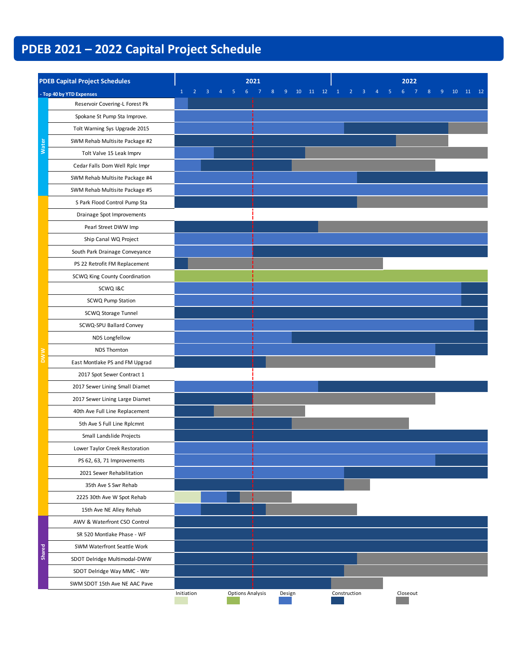# **PDEB 2021 – 2022 Capital Project Schedule**

| <b>PDEB Capital Project Schedules</b> |                                |            |   |                         | 2021 |              |          |              |   | 2022     |         |          |
|---------------------------------------|--------------------------------|------------|---|-------------------------|------|--------------|----------|--------------|---|----------|---------|----------|
|                                       | - Top 40 by YTD Expenses       |            | 4 | 5<br>6                  |      | 10<br>9<br>8 | 11<br>12 |              | 4 | 5<br>6   | 10<br>9 | 11<br>12 |
|                                       | Reservoir Covering-L Forest Pk |            |   |                         |      |              |          |              |   |          |         |          |
|                                       | Spokane St Pump Sta Improve.   |            |   |                         |      |              |          |              |   |          |         |          |
|                                       | Tolt Warning Sys Upgrade 2015  |            |   |                         |      |              |          |              |   |          |         |          |
|                                       | SWM Rehab Multisite Package #2 |            |   |                         |      |              |          |              |   |          |         |          |
| <b>Water</b>                          | Tolt Valve 15 Leak Imprv       |            |   |                         |      |              |          |              |   |          |         |          |
|                                       | Cedar Falls Dom Well Rplc Impr |            |   |                         |      |              |          |              |   |          |         |          |
|                                       | SWM Rehab Multisite Package #4 |            |   |                         |      |              |          |              |   |          |         |          |
|                                       | SWM Rehab Multisite Package #5 |            |   |                         |      |              |          |              |   |          |         |          |
|                                       | S Park Flood Control Pump Sta  |            |   |                         |      |              |          |              |   |          |         |          |
|                                       | Drainage Spot Improvements     |            |   |                         |      |              |          |              |   |          |         |          |
|                                       | Pearl Street DWW Imp           |            |   |                         |      |              |          |              |   |          |         |          |
|                                       | Ship Canal WQ Project          |            |   |                         |      |              |          |              |   |          |         |          |
|                                       | South Park Drainage Conveyance |            |   |                         |      |              |          |              |   |          |         |          |
|                                       | PS 22 Retrofit FM Replacement  |            |   |                         |      |              |          |              |   |          |         |          |
|                                       | SCWQ King County Coordination  |            |   |                         |      |              |          |              |   |          |         |          |
|                                       | SCWQ I&C                       |            |   |                         |      |              |          |              |   |          |         |          |
|                                       | SCWQ Pump Station              |            |   |                         |      |              |          |              |   |          |         |          |
|                                       | SCWQ Storage Tunnel            |            |   |                         |      |              |          |              |   |          |         |          |
|                                       | SCWQ-SPU Ballard Convey        |            |   |                         |      |              |          |              |   |          |         |          |
|                                       | NDS Longfellow                 |            |   |                         |      |              |          |              |   |          |         |          |
|                                       | <b>NDS Thornton</b>            |            |   |                         |      |              |          |              |   |          |         |          |
|                                       | East Montlake PS and FM Upgrad |            |   |                         |      |              |          |              |   |          |         |          |
|                                       | 2017 Spot Sewer Contract 1     |            |   |                         |      |              |          |              |   |          |         |          |
|                                       | 2017 Sewer Lining Small Diamet |            |   |                         |      |              |          |              |   |          |         |          |
|                                       | 2017 Sewer Lining Large Diamet |            |   |                         |      |              |          |              |   |          |         |          |
|                                       | 40th Ave Full Line Replacement |            |   |                         |      |              |          |              |   |          |         |          |
|                                       | 5th Ave S Full Line Rplcmnt    |            |   |                         |      |              |          |              |   |          |         |          |
|                                       | Small Landslide Projects       |            |   |                         |      |              |          |              |   |          |         |          |
|                                       | Lower Taylor Creek Restoration |            |   |                         |      |              |          |              |   |          |         |          |
|                                       | PS 62, 63, 71 Improvements     |            |   |                         |      |              |          |              |   |          |         |          |
|                                       | 2021 Sewer Rehabilitation      |            |   |                         |      |              |          |              |   |          |         |          |
|                                       | 35th Ave S Swr Rehab           |            |   |                         |      |              |          |              |   |          |         |          |
|                                       | 2225 30th Ave W Spot Rehab     |            |   |                         |      |              |          |              |   |          |         |          |
|                                       | 15th Ave NE Alley Rehab        |            |   |                         |      |              |          |              |   |          |         |          |
|                                       | AWV & Waterfront CSO Control   |            |   |                         |      |              |          |              |   |          |         |          |
|                                       | SR 520 Montlake Phase - WF     |            |   |                         |      |              |          |              |   |          |         |          |
| Shared                                | SWM Waterfront Seattle Work    |            |   |                         |      |              |          |              |   |          |         |          |
|                                       | SDOT Delridge Multimodal-DWW   |            |   |                         |      |              |          |              |   |          |         |          |
|                                       | SDOT Delridge Way MMC - Wtr    |            |   |                         |      |              |          |              |   |          |         |          |
|                                       | SWM SDOT 15th Ave NE AAC Pave  |            |   |                         |      |              |          |              |   |          |         |          |
|                                       |                                | Initiation |   | <b>Options Analysis</b> |      | Design       |          | Construction |   | Closeout |         |          |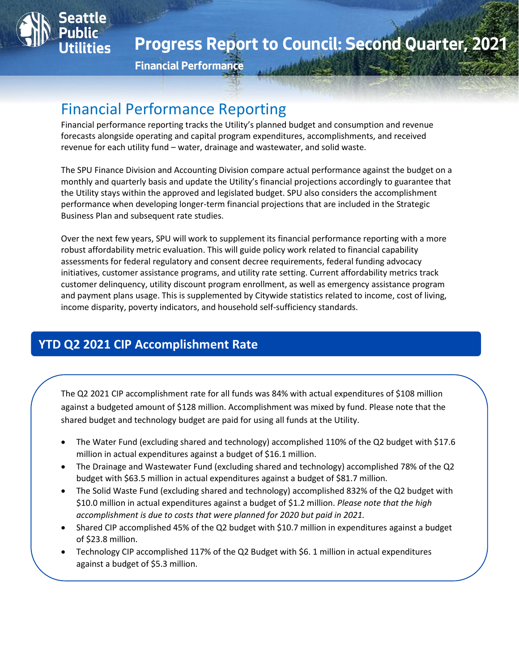

**Financial Performance**

# Financial Performance Reporting

Seattle

Financial performance reporting tracks the Utility's planned budget and consumption and revenue forecasts alongside operating and capital program expenditures, accomplishments, and received revenue for each utility fund – water, drainage and wastewater, and solid waste.

The SPU Finance Division and Accounting Division compare actual performance against the budget on a monthly and quarterly basis and update the Utility's financial projections accordingly to guarantee that the Utility stays within the approved and legislated budget. SPU also considers the accomplishment performance when developing longer-term financial projections that are included in the Strategic Business Plan and subsequent rate studies.

Over the next few years, SPU will work to supplement its financial performance reporting with a more robust affordability metric evaluation. This will guide policy work related to financial capability assessments for federal regulatory and consent decree requirements, federal funding advocacy initiatives, customer assistance programs, and utility rate setting. Current affordability metrics track customer delinquency, utility discount program enrollment, as well as emergency assistance program and payment plans usage. This is supplemented by Citywide statistics related to income, cost of living, income disparity, poverty indicators, and household self-sufficiency standards.

## **YTD Q2 2021 CIP Accomplishment Rate**

The Q2 2021 CIP accomplishment rate for all funds was 84% with actual expenditures of \$108 million against a budgeted amount of \$128 million. Accomplishment was mixed by fund. Please note that the shared budget and technology budget are paid for using all funds at the Utility.

- The Water Fund (excluding shared and technology) accomplished 110% of the Q2 budget with \$17.6 million in actual expenditures against a budget of \$16.1 million.
- The Drainage and Wastewater Fund (excluding shared and technology) accomplished 78% of the Q2 budget with \$63.5 million in actual expenditures against a budget of \$81.7 million.
- The Solid Waste Fund (excluding shared and technology) accomplished 832% of the Q2 budget with \$10.0 million in actual expenditures against a budget of \$1.2 million. *Please note that the high accomplishment is due to costs that were planned for 2020 but paid in 2021.*
- Shared CIP accomplished 45% of the Q2 budget with \$10.7 million in expenditures against a budget of \$23.8 million.
- Technology CIP accomplished 117% of the Q2 Budget with \$6. 1 million in actual expenditures against a budget of \$5.3 million.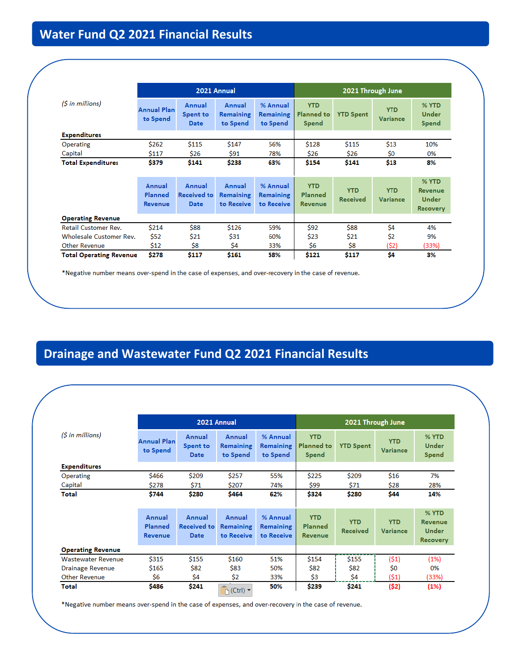|                                   |                                     |                                      | 2021 Annual                              |                                            |                                                 | 2021 Through June             |                               |                                                     |
|-----------------------------------|-------------------------------------|--------------------------------------|------------------------------------------|--------------------------------------------|-------------------------------------------------|-------------------------------|-------------------------------|-----------------------------------------------------|
| $(S \in \mathbb{N})$ in millions) | <b>Annual Plan</b><br>to Spend      | Annual<br>Spent to<br>Date           | Annual<br><b>Remaining</b><br>to Spend   | % Annual<br><b>Remaining</b><br>to Spend   | <b>YTD</b><br><b>Planned</b> to<br><b>Spend</b> | <b>YTD Spent</b>              | <b>YTD</b><br><b>Variance</b> | % YTD<br>Under<br>Spend                             |
| <b>Expenditures</b>               |                                     |                                      |                                          |                                            |                                                 |                               |                               |                                                     |
| Operating                         | \$262                               | \$115                                | \$147                                    | 56%                                        | \$128                                           | \$115                         | \$13                          | 10%                                                 |
| Capital                           | \$117                               | \$26                                 | \$91                                     | 78%                                        | \$26                                            | \$26                          | \$0                           | 0%                                                  |
| <b>Total Expenditures</b>         | \$379                               | \$141                                | \$238                                    | 63%                                        | \$154                                           | \$141                         | \$13                          | 8%                                                  |
|                                   |                                     |                                      |                                          |                                            |                                                 |                               |                               |                                                     |
|                                   | Annual<br>Planned<br><b>Revenue</b> | Annual<br><b>Received to</b><br>Date | Annual<br><b>Remaining</b><br>to Receive | % Annual<br><b>Remaining</b><br>to Receive | <b>YTD</b><br>Planned<br><b>Revenue</b>         | <b>YTD</b><br><b>Received</b> | <b>YTD</b><br>Variance        | % YTD<br>Revenue<br><b>Under</b><br><b>Recovery</b> |
| <b>Operating Revenue</b>          |                                     |                                      |                                          |                                            |                                                 |                               |                               |                                                     |
| <b>Retail Customer Rev.</b>       | \$214                               | \$88                                 | \$126                                    | 59%                                        | \$92                                            | \$88                          | \$4                           | 4%                                                  |
| <b>Wholesale Customer Rev.</b>    | \$52                                | \$21                                 | \$31                                     | 60%                                        | \$23                                            | \$21                          | \$2                           | 9%                                                  |
| <b>Other Revenue</b>              | \$12                                | Ś8                                   | Ś4                                       | 33%                                        | \$6                                             | Ś8                            | (\$2)                         | (33%)                                               |
| <b>Total Operating Revenue</b>    | \$278                               | \$117                                | \$161                                    | 58%                                        | \$121                                           | \$117                         | Ś4                            | 3%                                                  |

\*Negative number means over-spend in the case of expenses, and over-recovery in the case of revenue.

# **Drainage and Wastewater Fund Q2 2021 Financial Results**

|                                   |                                     |                                             | 2021 Annual                              |                                            | 2021 Through June                        |                               |                               |                                              |
|-----------------------------------|-------------------------------------|---------------------------------------------|------------------------------------------|--------------------------------------------|------------------------------------------|-------------------------------|-------------------------------|----------------------------------------------|
| $(S \in \mathbb{N})$ in millions) | <b>Annual Plan</b><br>to Spend      | Annual<br>Spent to<br>Date                  | Annual<br><b>Remaining</b><br>to Spend   | % Annual<br><b>Remaining</b><br>to Spend   | <b>YTD</b><br><b>Planned to</b><br>Spend | <b>YTD Spent</b>              | <b>YTD</b><br><b>Variance</b> | % YTD<br>Under<br>Spend                      |
| <b>Expenditures</b>               |                                     |                                             |                                          |                                            |                                          |                               |                               |                                              |
| Operating<br>Capital              | \$466<br>\$278                      | \$209<br>\$71                               | \$257<br>\$207                           | 55%<br>74%                                 | \$225<br>\$99                            | \$209<br>\$71                 | \$16<br>\$28                  | 7%<br>28%                                    |
| Total                             | \$744                               | \$280                                       | \$464                                    | 62%                                        | \$324                                    | \$280                         | \$44                          | 14%                                          |
|                                   | Annual<br>Planned<br><b>Revenue</b> | Annual<br><b>Received to</b><br><b>Date</b> | Annual<br><b>Remaining</b><br>to Receive | % Annual<br><b>Remaining</b><br>to Receive | <b>YTD</b><br>Planned<br><b>Revenue</b>  | <b>YTD</b><br><b>Received</b> | <b>YTD</b><br>Variance        | % YTD<br>Revenue<br>Under<br><b>Recovery</b> |
| <b>Operating Revenue</b>          |                                     |                                             |                                          |                                            |                                          |                               |                               |                                              |
| <b>Wastewater Revenue</b>         | \$315                               | \$155                                       | \$160                                    | 51%                                        | \$154                                    | \$155                         | (51)                          | (1%)                                         |
| Drainage Revenue                  | \$165                               | \$82                                        | \$83                                     | 50%                                        | \$82                                     | \$82                          | \$0                           | 0%                                           |
| <b>Other Revenue</b>              | Ś6                                  | \$4                                         | \$2                                      | 33%                                        | \$3                                      | \$4                           | (51)                          | (33%)                                        |
| Total                             | \$486                               | \$241                                       | $\Gamma$ <sub>1</sub> (Ctrl) $\tau$      | 50%                                        | \$239                                    | \$241                         | (\$2)                         | (1%)                                         |

\*Negative number means over-spend in the case of expenses, and over-recovery in the case of revenue.